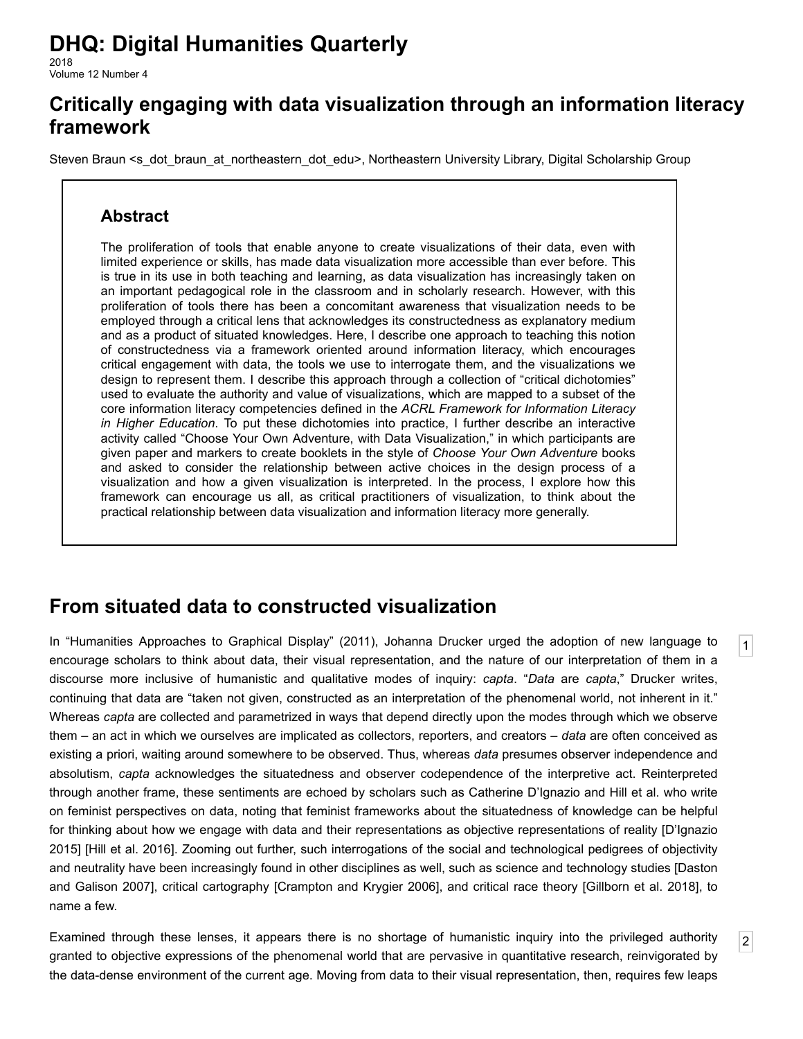# **DHQ: Digital Humanities Quarterly**

2018 Volume 12 Number 4

## **Critically engaging with data visualization through an information literacy framework**

[Steven Braun](http://www.digitalhumanities.org/dhq/vol/12/4/bios.html#braun_steven) [<s\\_dot\\_braun\\_at\\_northeastern\\_dot\\_edu](mailto:s_dot_braun_at_northeastern_dot_edu)>, Northeastern University Library, Digital Scholarship Group

### **Abstract**

The proliferation of tools that enable anyone to create visualizations of their data, even with limited experience or skills, has made data visualization more accessible than ever before. This is true in its use in both teaching and learning, as data visualization has increasingly taken on an important pedagogical role in the classroom and in scholarly research. However, with this proliferation of tools there has been a concomitant awareness that visualization needs to be employed through a critical lens that acknowledges its constructedness as explanatory medium and as a product of situated knowledges. Here, I describe one approach to teaching this notion of constructedness via a framework oriented around information literacy, which encourages critical engagement with data, the tools we use to interrogate them, and the visualizations we design to represent them. I describe this approach through a collection of "critical dichotomies" used to evaluate the authority and value of visualizations, which are mapped to a subset of the core information literacy competencies defined in the *ACRL Framework for Information Literacy in Higher Education*. To put these dichotomies into practice, I further describe an interactive activity called "Choose Your Own Adventure, with Data Visualization," in which participants are given paper and markers to create booklets in the style of *Choose Your Own Adventure* books and asked to consider the relationship between active choices in the design process of a visualization and how a given visualization is interpreted. In the process, I explore how this framework can encourage us all, as critical practitioners of visualization, to think about the practical relationship between data visualization and information literacy more generally.

## **From situated data to constructed visualization**

<span id="page-0-0"></span>In "Humanities Approaches to Graphical Display" (2011), Johanna Drucker urged the adoption of new language to encourage scholars to think about data, their visual representation, and the nature of our interpretation of them in a discourse more inclusive of humanistic and qualitative modes of inquiry: *capta*. "*Data* are *capta*," Drucker writes, continuing that data are "taken not given, constructed as an interpretation of the phenomenal world, not inherent in it." Whereas *capta* are collected and parametrized in ways that depend directly upon the modes through which we observe them – an act in which we ourselves are implicated as collectors, reporters, and creators – *data* are often conceived as existing a priori, waiting around somewhere to be observed. Thus, whereas *data* presumes observer independence and absolutism, *capta* acknowledges the situatedness and observer codependence of the interpretive act. Reinterpreted through another frame, these sentiments are echoed by scholars such as Catherine D'Ignazio and Hill et al. who write on feminist perspectives on data, noting that feminist frameworks about the situatedness of knowledge can be helpful [for thinking about how we engage with data and their representations as objective representations of reality \[D'Ignazio](#page-11-0) 2015] [[Hill et al. 2016](#page-11-1)]. Zooming out further, such interrogations of the social and technological pedigrees of objectivity [and neutrality have been increasingly found in other disciplines as well, such as science and technology studies \[Daston](#page-11-2) and Galison 2007], critical cartography [[Crampton and Krygier 2006](#page-11-3)], and critical race theory [\[Gillborn et al. 2018](#page-11-4)], to name a few.

[1](#page-0-0)

[2](#page-0-1)

<span id="page-0-1"></span>Examined through these lenses, it appears there is no shortage of humanistic inquiry into the privileged authority granted to objective expressions of the phenomenal world that are pervasive in quantitative research, reinvigorated by the data-dense environment of the current age. Moving from data to their visual representation, then, requires few leaps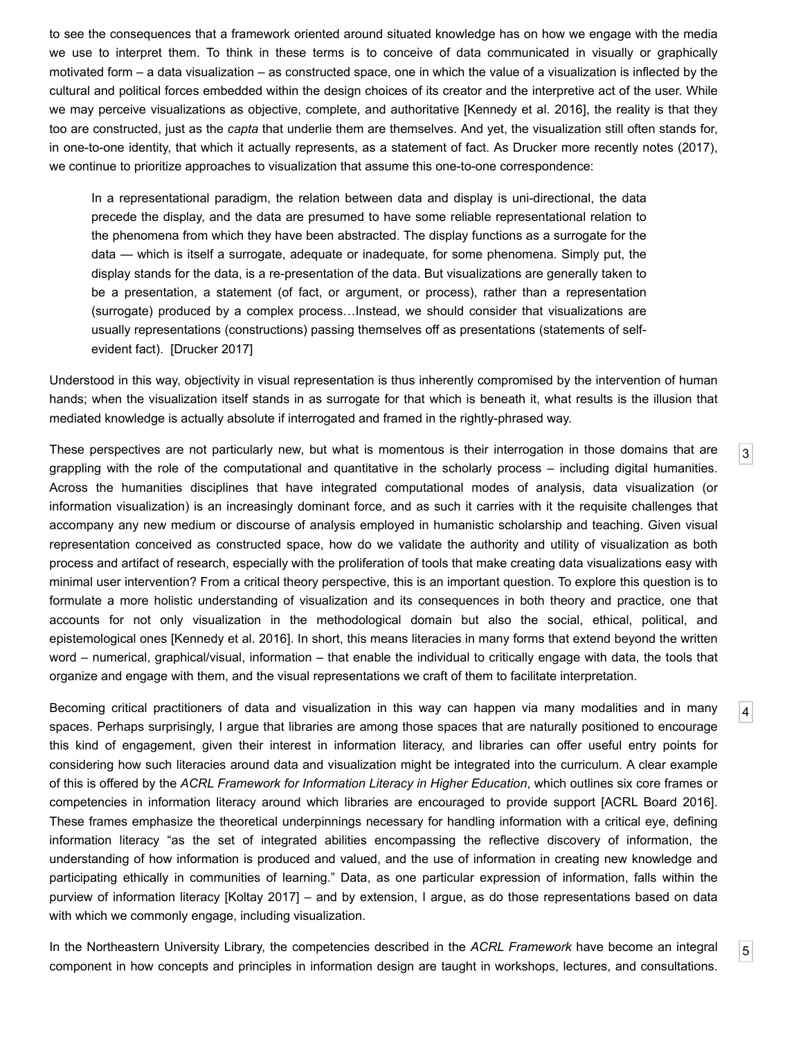to see the consequences that a framework oriented around situated knowledge has on how we engage with the media we use to interpret them. To think in these terms is to conceive of data communicated in visually or graphically motivated form – a data visualization – as constructed space, one in which the value of a visualization is inflected by the cultural and political forces embedded within the design choices of its creator and the interpretive act of the user. While we may perceive visualizations as objective, complete, and authoritative [\[Kennedy et al. 2016](#page-11-5)], the reality is that they too are constructed, just as the *capta* that underlie them are themselves. And yet, the visualization still often stands for, in one-to-one identity, that which it actually represents, as a statement of fact. As Drucker more recently notes (2017), we continue to prioritize approaches to visualization that assume this one-to-one correspondence:

In a representational paradigm, the relation between data and display is uni-directional, the data precede the display, and the data are presumed to have some reliable representational relation to the phenomena from which they have been abstracted. The display functions as a surrogate for the data — which is itself a surrogate, adequate or inadequate, for some phenomena. Simply put, the display stands for the data, is a re-presentation of the data. But visualizations are generally taken to be a presentation, a statement (of fact, or argument, or process), rather than a representation (surrogate) produced by a complex process…Instead, we should consider that visualizations are usually representations (constructions) passing themselves off as presentations (statements of selfevident fact). [[Drucker 2017](#page-11-6)]

Understood in this way, objectivity in visual representation is thus inherently compromised by the intervention of human hands; when the visualization itself stands in as surrogate for that which is beneath it, what results is the illusion that mediated knowledge is actually absolute if interrogated and framed in the rightly-phrased way.

[3](#page-1-0)

[4](#page-1-1)

[5](#page-1-2)

<span id="page-1-0"></span>These perspectives are not particularly new, but what is momentous is their interrogation in those domains that are grappling with the role of the computational and quantitative in the scholarly process – including digital humanities. Across the humanities disciplines that have integrated computational modes of analysis, data visualization (or information visualization) is an increasingly dominant force, and as such it carries with it the requisite challenges that accompany any new medium or discourse of analysis employed in humanistic scholarship and teaching. Given visual representation conceived as constructed space, how do we validate the authority and utility of visualization as both process and artifact of research, especially with the proliferation of tools that make creating data visualizations easy with minimal user intervention? From a critical theory perspective, this is an important question. To explore this question is to formulate a more holistic understanding of visualization and its consequences in both theory and practice, one that accounts for not only visualization in the methodological domain but also the social, ethical, political, and epistemological ones [\[Kennedy et al. 2016\]](#page-11-5). In short, this means literacies in many forms that extend beyond the written word – numerical, graphical/visual, information – that enable the individual to critically engage with data, the tools that organize and engage with them, and the visual representations we craft of them to facilitate interpretation.

<span id="page-1-1"></span>Becoming critical practitioners of data and visualization in this way can happen via many modalities and in many spaces. Perhaps surprisingly, I argue that libraries are among those spaces that are naturally positioned to encourage this kind of engagement, given their interest in information literacy, and libraries can offer useful entry points for considering how such literacies around data and visualization might be integrated into the curriculum. A clear example of this is offered by the *ACRL Framework for Information Literacy in Higher Education*, which outlines six core frames or competencies in information literacy around which libraries are encouraged to provide support [\[ACRL Board 2016](#page-11-7)]. These frames emphasize the theoretical underpinnings necessary for handling information with a critical eye, defining information literacy "as the set of integrated abilities encompassing the reflective discovery of information, the understanding of how information is produced and valued, and the use of information in creating new knowledge and participating ethically in communities of learning." Data, as one particular expression of information, falls within the purview of information literacy [\[Koltay 2017\]](#page-11-8) – and by extension, I argue, as do those representations based on data with which we commonly engage, including visualization.

<span id="page-1-2"></span>In the Northeastern University Library, the competencies described in the *ACRL Framework* have become an integral component in how concepts and principles in information design are taught in workshops, lectures, and consultations.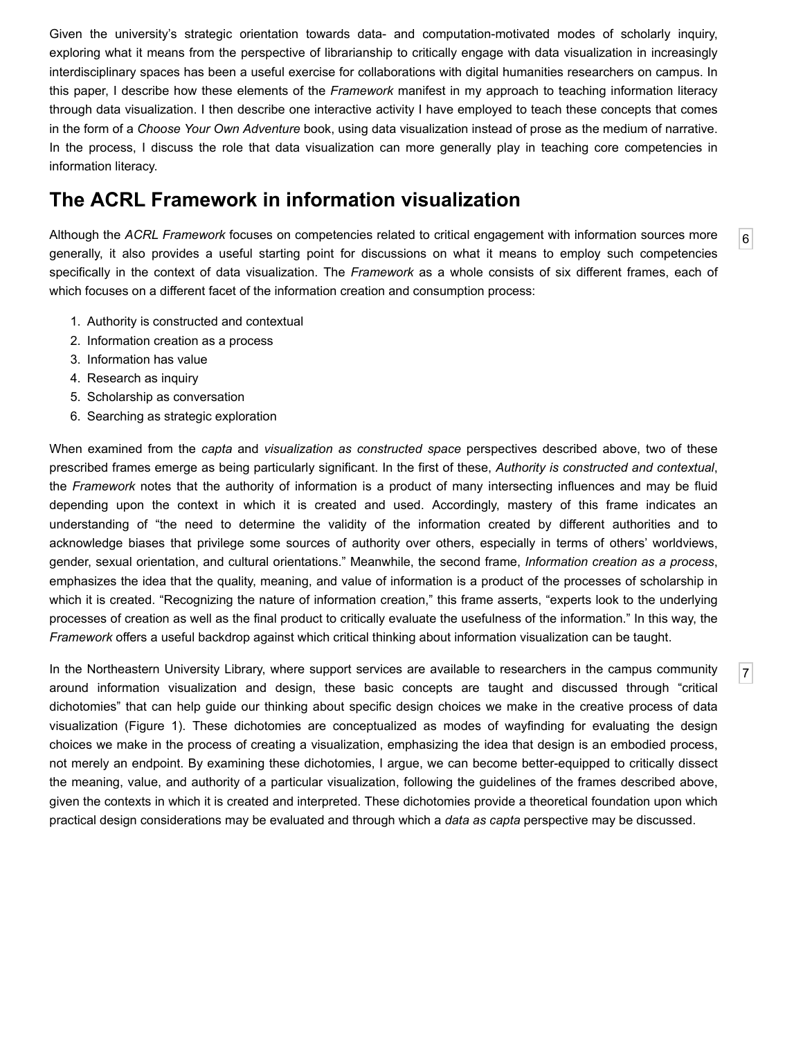Given the university's strategic orientation towards data- and computation-motivated modes of scholarly inquiry, exploring what it means from the perspective of librarianship to critically engage with data visualization in increasingly interdisciplinary spaces has been a useful exercise for collaborations with digital humanities researchers on campus. In this paper, I describe how these elements of the *Framework* manifest in my approach to teaching information literacy through data visualization. I then describe one interactive activity I have employed to teach these concepts that comes in the form of a *Choose Your Own Adventure* book, using data visualization instead of prose as the medium of narrative. In the process, I discuss the role that data visualization can more generally play in teaching core competencies in information literacy.

### **The ACRL Framework in information visualization**

<span id="page-2-0"></span>Although the *ACRL Framework* focuses on competencies related to critical engagement with information sources more generally, it also provides a useful starting point for discussions on what it means to employ such competencies specifically in the context of data visualization. The *Framework* as a whole consists of six different frames, each of which focuses on a different facet of the information creation and consumption process:

[6](#page-2-0)

[7](#page-2-1)

- 1. Authority is constructed and contextual
- 2. Information creation as a process
- 3. Information has value
- 4. Research as inquiry
- 5. Scholarship as conversation
- 6. Searching as strategic exploration

When examined from the *capta* and *visualization as constructed space* perspectives described above, two of these prescribed frames emerge as being particularly significant. In the first of these, *Authority is constructed and contextual*, the *Framework* notes that the authority of information is a product of many intersecting influences and may be fluid depending upon the context in which it is created and used. Accordingly, mastery of this frame indicates an understanding of "the need to determine the validity of the information created by different authorities and to acknowledge biases that privilege some sources of authority over others, especially in terms of others' worldviews, gender, sexual orientation, and cultural orientations." Meanwhile, the second frame, *Information creation as a process*, emphasizes the idea that the quality, meaning, and value of information is a product of the processes of scholarship in which it is created. "Recognizing the nature of information creation," this frame asserts, "experts look to the underlying processes of creation as well as the final product to critically evaluate the usefulness of the information." In this way, the *Framework* offers a useful backdrop against which critical thinking about information visualization can be taught.

<span id="page-2-1"></span>In the Northeastern University Library, where support services are available to researchers in the campus community around information visualization and design, these basic concepts are taught and discussed through "critical dichotomies" that can help guide our thinking about specific design choices we make in the creative process of data visualization [\(Figure 1\)](#page-3-0). These dichotomies are conceptualized as modes of wayfinding for evaluating the design choices we make in the process of creating a visualization, emphasizing the idea that design is an embodied process, not merely an endpoint. By examining these dichotomies, I argue, we can become better-equipped to critically dissect the meaning, value, and authority of a particular visualization, following the guidelines of the frames described above, given the contexts in which it is created and interpreted. These dichotomies provide a theoretical foundation upon which practical design considerations may be evaluated and through which a *data as capta* perspective may be discussed.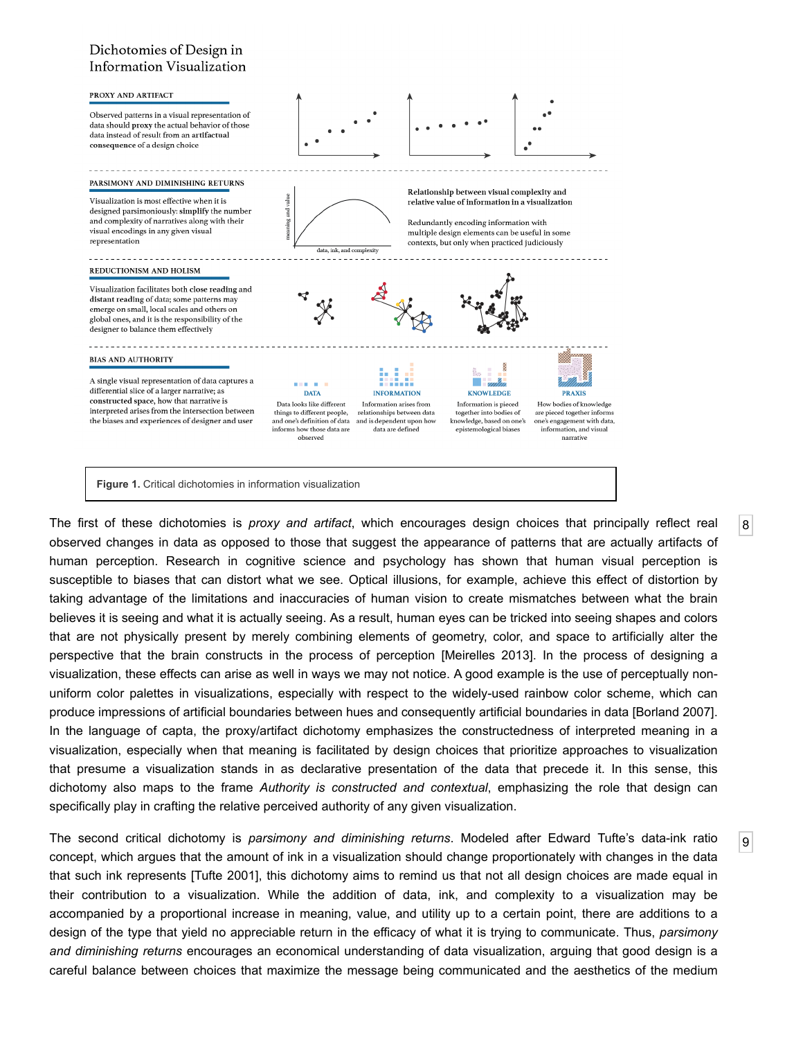#### <span id="page-3-0"></span>Dichotomies of Design in **Information Visualization**



<span id="page-3-1"></span>The first of these dichotomies is *proxy and artifact*, which encourages design choices that principally reflect real observed changes in data as opposed to those that suggest the appearance of patterns that are actually artifacts of human perception. Research in cognitive science and psychology has shown that human visual perception is susceptible to biases that can distort what we see. Optical illusions, for example, achieve this effect of distortion by taking advantage of the limitations and inaccuracies of human vision to create mismatches between what the brain believes it is seeing and what it is actually seeing. As a result, human eyes can be tricked into seeing shapes and colors that are not physically present by merely combining elements of geometry, color, and space to artificially alter the perspective that the brain constructs in the process of perception [\[Meirelles 2013\]](#page-11-9). In the process of designing a visualization, these effects can arise as well in ways we may not notice. A good example is the use of perceptually nonuniform color palettes in visualizations, especially with respect to the widely-used rainbow color scheme, which can produce impressions of artificial boundaries between hues and consequently artificial boundaries in data [[Borland 2007](#page-11-10)]. In the language of capta, the proxy/artifact dichotomy emphasizes the constructedness of interpreted meaning in a visualization, especially when that meaning is facilitated by design choices that prioritize approaches to visualization that presume a visualization stands in as declarative presentation of the data that precede it. In this sense, this dichotomy also maps to the frame *Authority is constructed and contextual*, emphasizing the role that design can specifically play in crafting the relative perceived authority of any given visualization.

[8](#page-3-1)

[9](#page-3-2)

<span id="page-3-2"></span>The second critical dichotomy is *parsimony and diminishing returns*. Modeled after Edward Tufte's data-ink ratio concept, which argues that the amount of ink in a visualization should change proportionately with changes in the data that such ink represents [\[Tufte 2001\]](#page-11-11), this dichotomy aims to remind us that not all design choices are made equal in their contribution to a visualization. While the addition of data, ink, and complexity to a visualization may be accompanied by a proportional increase in meaning, value, and utility up to a certain point, there are additions to a design of the type that yield no appreciable return in the efficacy of what it is trying to communicate. Thus, *parsimony and diminishing returns* encourages an economical understanding of data visualization, arguing that good design is a careful balance between choices that maximize the message being communicated and the aesthetics of the medium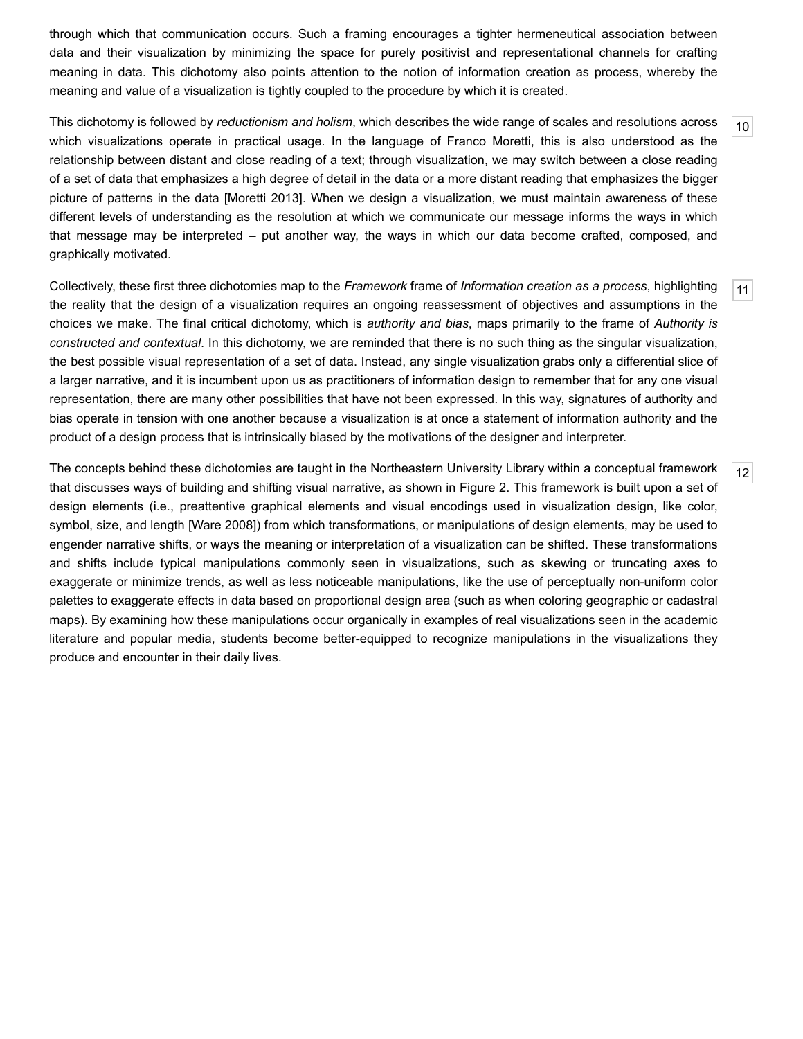through which that communication occurs. Such a framing encourages a tighter hermeneutical association between data and their visualization by minimizing the space for purely positivist and representational channels for crafting meaning in data. This dichotomy also points attention to the notion of information creation as process, whereby the meaning and value of a visualization is tightly coupled to the procedure by which it is created.

<span id="page-4-0"></span>This dichotomy is followed by *reductionism and holism*, which describes the wide range of scales and resolutions across which visualizations operate in practical usage. In the language of Franco Moretti, this is also understood as the relationship between distant and close reading of a text; through visualization, we may switch between a close reading of a set of data that emphasizes a high degree of detail in the data or a more distant reading that emphasizes the bigger picture of patterns in the data [[Moretti 2013](#page-11-12)]. When we design a visualization, we must maintain awareness of these different levels of understanding as the resolution at which we communicate our message informs the ways in which that message may be interpreted – put another way, the ways in which our data become crafted, composed, and graphically motivated.

[10](#page-4-0)

[12](#page-4-2)

<span id="page-4-1"></span>[11](#page-4-1) Collectively, these first three dichotomies map to the *Framework* frame of *Information creation as a process*, highlighting the reality that the design of a visualization requires an ongoing reassessment of objectives and assumptions in the choices we make. The final critical dichotomy, which is *authority and bias*, maps primarily to the frame of *Authority is constructed and contextual*. In this dichotomy, we are reminded that there is no such thing as the singular visualization, the best possible visual representation of a set of data. Instead, any single visualization grabs only a differential slice of a larger narrative, and it is incumbent upon us as practitioners of information design to remember that for any one visual representation, there are many other possibilities that have not been expressed. In this way, signatures of authority and bias operate in tension with one another because a visualization is at once a statement of information authority and the product of a design process that is intrinsically biased by the motivations of the designer and interpreter.

<span id="page-4-2"></span>The concepts behind these dichotomies are taught in the Northeastern University Library within a conceptual framework that discusses ways of building and shifting visual narrative, as shown in [Figure 2](#page-5-0). This framework is built upon a set of design elements (i.e., preattentive graphical elements and visual encodings used in visualization design, like color, symbol, size, and length [\[Ware 2008\]](#page-11-13)) from which transformations, or manipulations of design elements, may be used to engender narrative shifts, or ways the meaning or interpretation of a visualization can be shifted. These transformations and shifts include typical manipulations commonly seen in visualizations, such as skewing or truncating axes to exaggerate or minimize trends, as well as less noticeable manipulations, like the use of perceptually non-uniform color palettes to exaggerate effects in data based on proportional design area (such as when coloring geographic or cadastral maps). By examining how these manipulations occur organically in examples of real visualizations seen in the academic literature and popular media, students become better-equipped to recognize manipulations in the visualizations they produce and encounter in their daily lives.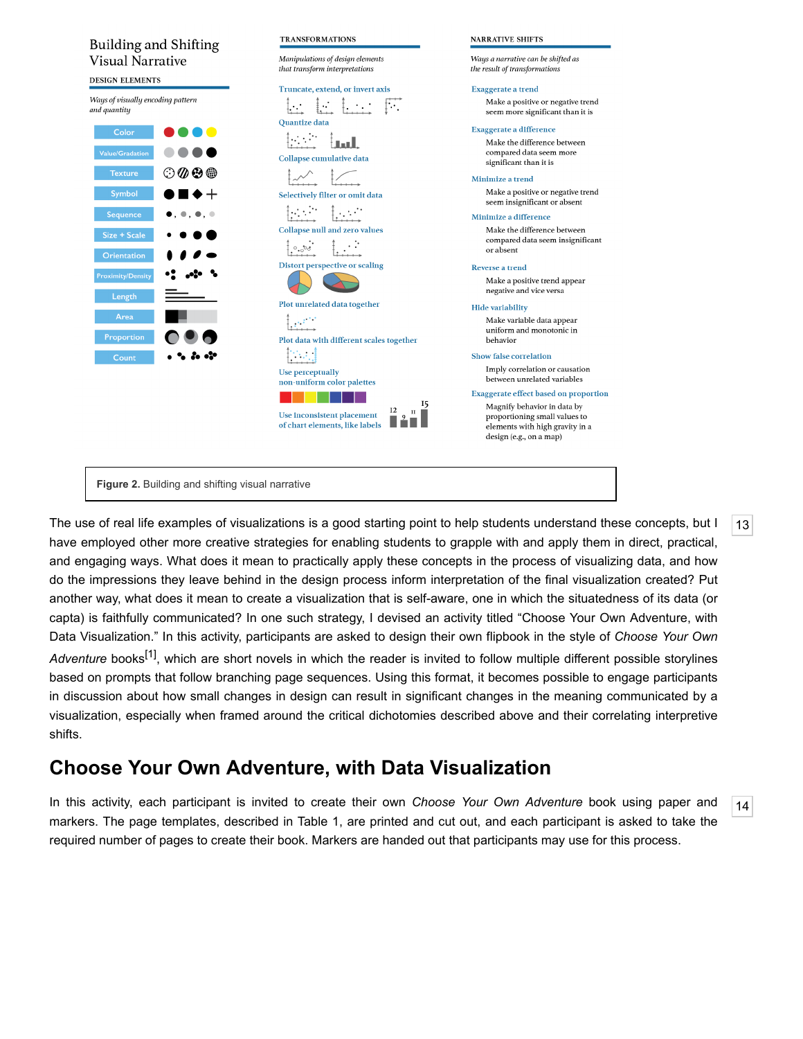<span id="page-5-0"></span>

**Figure 2.** Building and shifting visual narrative

<span id="page-5-1"></span>The use of real life examples of visualizations is a good starting point to help students understand these concepts, but I have employed other more creative strategies for enabling students to grapple with and apply them in direct, practical, and engaging ways. What does it mean to practically apply these concepts in the process of visualizing data, and how do the impressions they leave behind in the design process inform interpretation of the final visualization created? Put another way, what does it mean to create a visualization that is self-aware, one in which the situatedness of its data (or capta) is faithfully communicated? In one such strategy, I devised an activity titled "Choose Your Own Adventure, with Data Visualization." In this activity, participants are asked to design their own flipbook in the style of *Choose Your Own* Adventure books<sup>[1]</sup>, which are short novels in which the reader is invited to follow multiple different possible storylines based on prompts that follow branching page sequences. Using this format, it becomes possible to engage participants in discussion about how small changes in design can result in significant changes in the meaning communicated by a visualization, especially when framed around the critical dichotomies described above and their correlating interpretive shifts.

[13](#page-5-1)

[14](#page-5-2)

## **Choose Your Own Adventure, with Data Visualization**

<span id="page-5-2"></span>In this activity, each participant is invited to create their own *Choose Your Own Adventure* book using paper and markers. The page templates, described in [Table 1,](#page-6-0) are printed and cut out, and each participant is asked to take the required number of pages to create their book. Markers are handed out that participants may use for this process.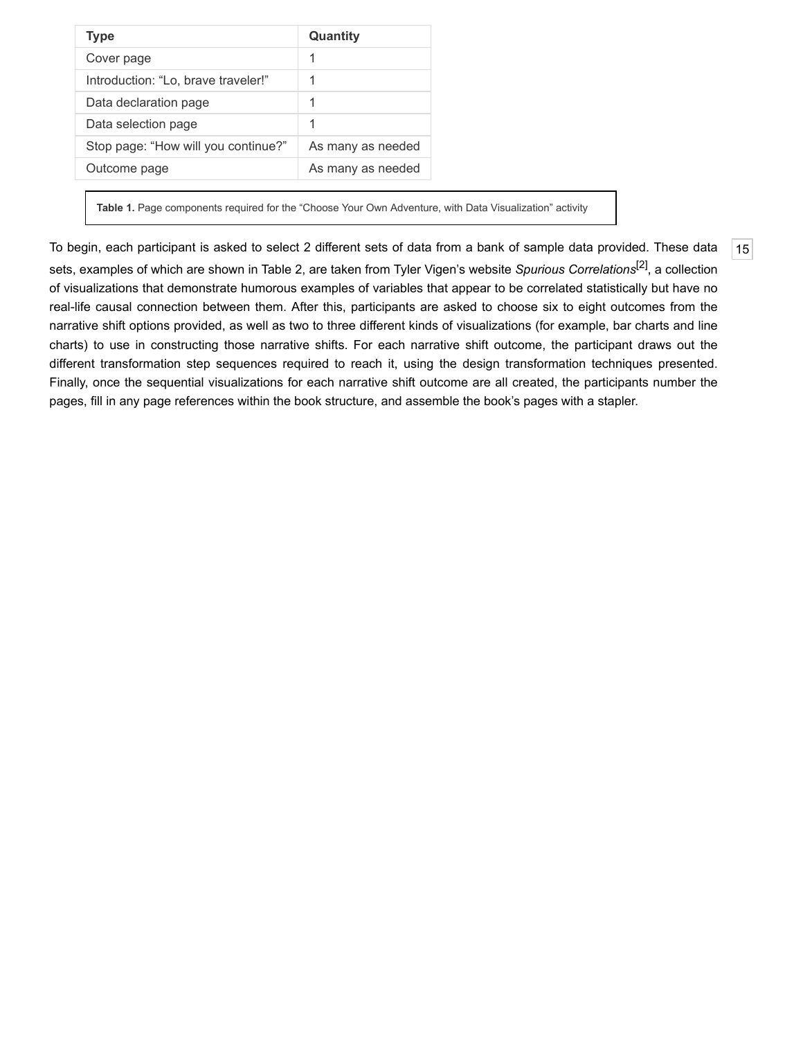<span id="page-6-0"></span>

| <b>Type</b>                         | Quantity          |
|-------------------------------------|-------------------|
| Cover page                          |                   |
| Introduction: "Lo, brave traveler!" |                   |
| Data declaration page               | 1                 |
| Data selection page                 | 1                 |
| Stop page: "How will you continue?" | As many as needed |
| Outcome page                        | As many as needed |

**Table 1.** Page components required for the "Choose Your Own Adventure, with Data Visualization" activity

<span id="page-6-1"></span>To begin, each participant is asked to select 2 different sets of data from a bank of sample data provided. These data sets, examples of which are shown in [Table 2](#page-7-0), are taken from Tyler Vigen's website *Spurious Correlations*[\[2\]](#page-11-14), a collection of visualizations that demonstrate humorous examples of variables that appear to be correlated statistically but have no real-life causal connection between them. After this, participants are asked to choose six to eight outcomes from the narrative shift options provided, as well as two to three different kinds of visualizations (for example, bar charts and line charts) to use in constructing those narrative shifts. For each narrative shift outcome, the participant draws out the different transformation step sequences required to reach it, using the design transformation techniques presented. Finally, once the sequential visualizations for each narrative shift outcome are all created, the participants number the pages, fill in any page references within the book structure, and assemble the book's pages with a stapler.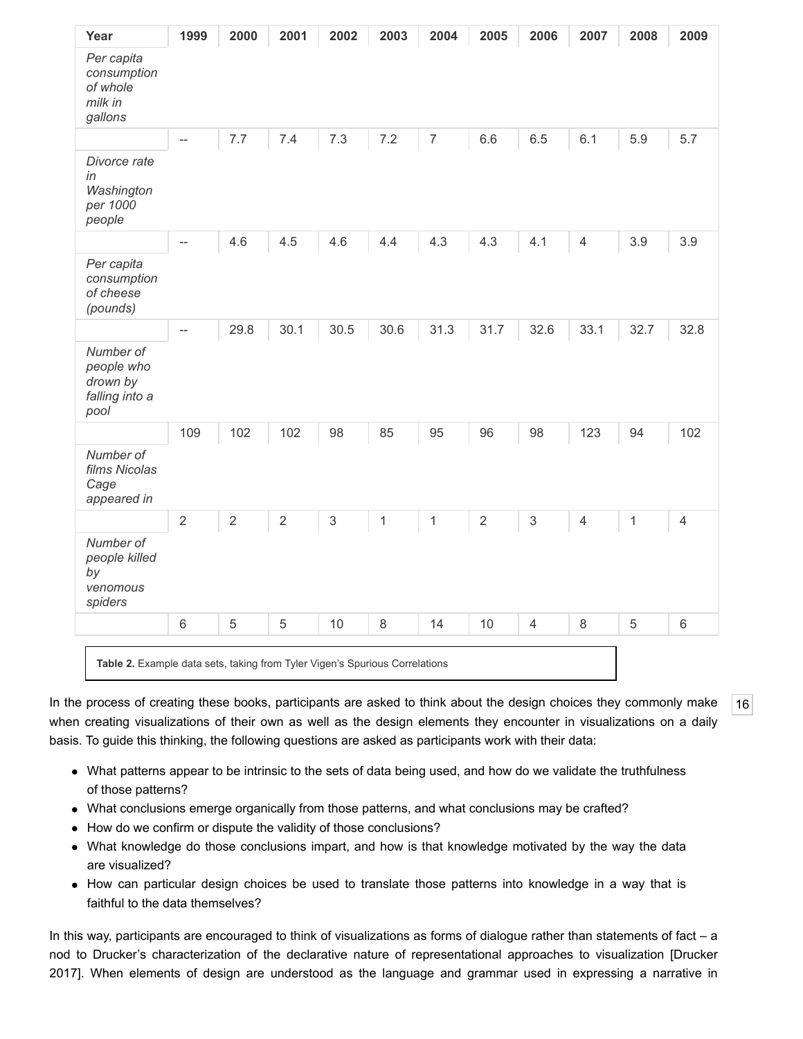<span id="page-7-0"></span>

| Year                                                          | 1999           | 2000       | 2001           | 2002        | 2003 | 2004           | 2005       | 2006                      | 2007           | 2008 | 2009           |
|---------------------------------------------------------------|----------------|------------|----------------|-------------|------|----------------|------------|---------------------------|----------------|------|----------------|
| Per capita<br>consumption<br>of whole<br>milk in<br>gallons   |                |            |                |             |      |                |            |                           |                |      |                |
|                                                               | --             | 7.7        | 7.4            | 7.3         | 7.2  | $\overline{7}$ | 6.6        | 6.5                       | 6.1            | 5.9  | 5.7            |
| Divorce rate<br>in<br>Washington<br>per 1000<br>people        |                |            |                |             |      |                |            |                           |                |      |                |
|                                                               | $- -$          | 4.6        | 4.5            | 4.6         | 4.4  | 4.3            | 4.3        | 4.1                       | $\overline{4}$ | 3.9  | 3.9            |
| Per capita<br>consumption<br>of cheese<br>(pounds)            |                |            |                |             |      |                |            |                           |                |      |                |
|                                                               | $-$            | 29.8       | 30.1           | 30.5        | 30.6 | 31.3           | 31.7       | 32.6                      | 33.1           | 32.7 | 32.8           |
| Number of<br>people who<br>drown by<br>falling into a<br>pool |                |            |                |             |      |                |            |                           |                |      |                |
|                                                               | 109            | 102        | 102            | 98          | 85   | 95             | 96         | 98                        | 123            | 94   | 102            |
| Number of<br>films Nicolas<br>Cage<br>appeared in             |                |            |                |             |      |                |            |                           |                |      |                |
|                                                               | $\overline{2}$ | $\sqrt{2}$ | $\overline{2}$ | $\mathsf 3$ | 1    | 1              | $\sqrt{2}$ | $\ensuremath{\mathsf{3}}$ | $\overline{4}$ | 1    | $\overline{4}$ |
| Number of<br>people killed<br>by<br>venomous<br>spiders       |                |            |                |             |      |                |            |                           |                |      |                |
|                                                               | 6              | 5          | 5              | 10          | 8    | 14             | 10         | $\overline{4}$            | 8              | 5    | $\,6\,$        |

<span id="page-7-1"></span>In the process of creating these books, participants are asked to think about the design choices they commonly make when creating visualizations of their own as well as the design elements they encounter in visualizations on a daily basis. To guide this thinking, the following questions are asked as participants work with their data:

- What patterns appear to be intrinsic to the sets of data being used, and how do we validate the truthfulness of those patterns?
- What conclusions emerge organically from those patterns, and what conclusions may be crafted?
- How do we confirm or dispute the validity of those conclusions?
- What knowledge do those conclusions impart, and how is that knowledge motivated by the way the data are visualized?
- How can particular design choices be used to translate those patterns into knowledge in a way that is faithful to the data themselves?

In this way, participants are encouraged to think of visualizations as forms of dialogue rather than statements of fact – a [nod to Drucker's characterization of the declarative nature of representational approaches to visualization \[Drucker](#page-11-6) 2017]. When elements of design are understood as the language and grammar used in expressing a narrative in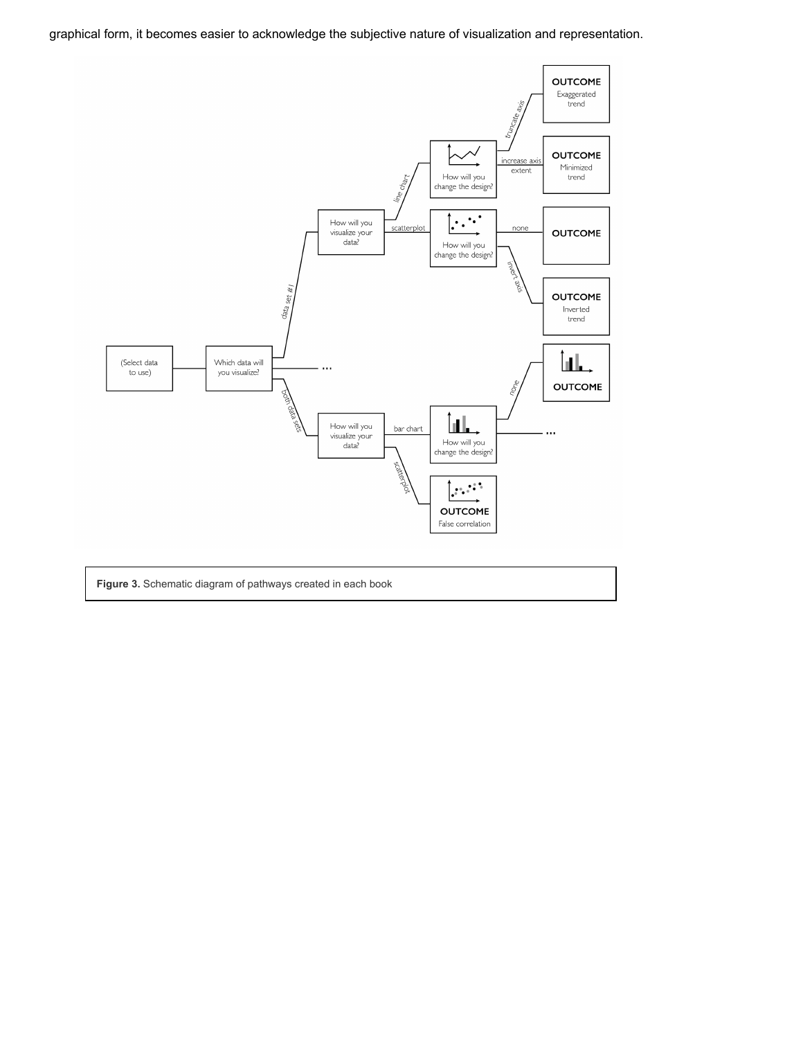graphical form, it becomes easier to acknowledge the subjective nature of visualization and representation.

<span id="page-8-0"></span>

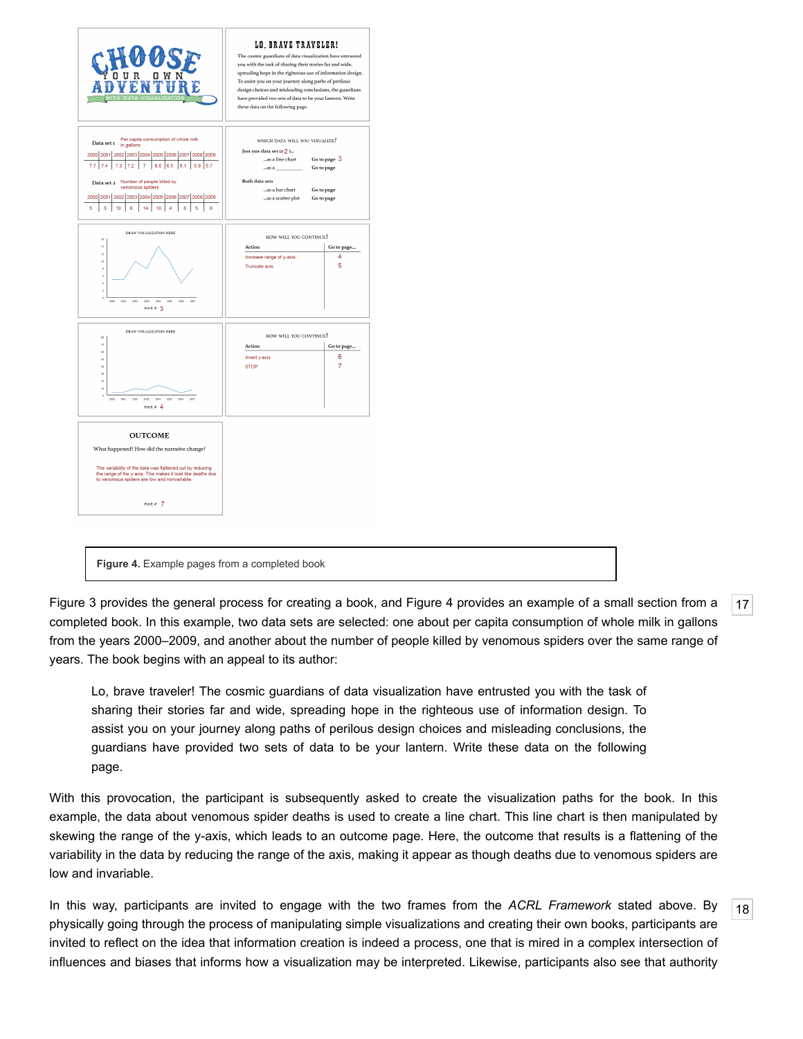<span id="page-9-2"></span>

**Figure 4.** Example pages from a completed book

<span id="page-9-0"></span>[Figure 3](#page-8-0) provides the general process for creating a book, and [Figure 4](#page-9-2) provides an example of a small section from a completed book. In this example, two data sets are selected: one about per capita consumption of whole milk in gallons from the years 2000–2009, and another about the number of people killed by venomous spiders over the same range of years. The book begins with an appeal to its author:

Lo, brave traveler! The cosmic guardians of data visualization have entrusted you with the task of sharing their stories far and wide, spreading hope in the righteous use of information design. To assist you on your journey along paths of perilous design choices and misleading conclusions, the guardians have provided two sets of data to be your lantern. Write these data on the following page.

With this provocation, the participant is subsequently asked to create the visualization paths for the book. In this example, the data about venomous spider deaths is used to create a line chart. This line chart is then manipulated by skewing the range of the y-axis, which leads to an outcome page. Here, the outcome that results is a flattening of the variability in the data by reducing the range of the axis, making it appear as though deaths due to venomous spiders are low and invariable.

<span id="page-9-1"></span>In this way, participants are invited to engage with the two frames from the *ACRL Framework* stated above. By physically going through the process of manipulating simple visualizations and creating their own books, participants are invited to reflect on the idea that information creation is indeed a process, one that is mired in a complex intersection of influences and biases that informs how a visualization may be interpreted. Likewise, participants also see that authority

[17](#page-9-0)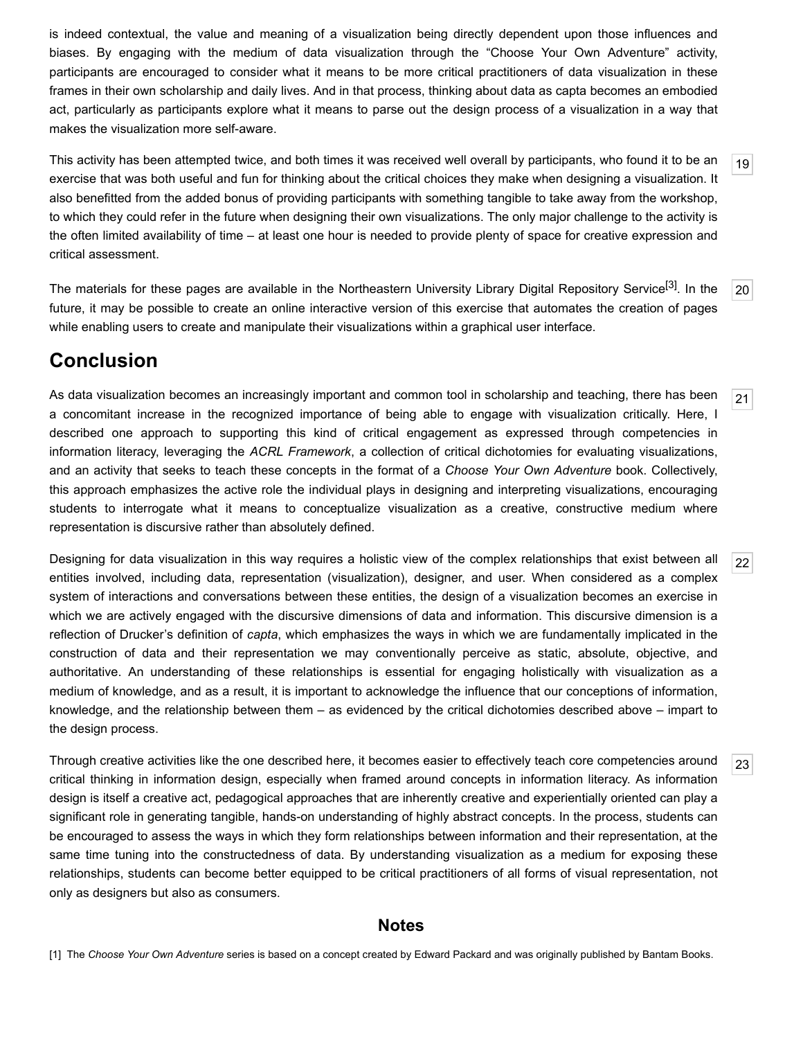is indeed contextual, the value and meaning of a visualization being directly dependent upon those influences and biases. By engaging with the medium of data visualization through the "Choose Your Own Adventure" activity, participants are encouraged to consider what it means to be more critical practitioners of data visualization in these frames in their own scholarship and daily lives. And in that process, thinking about data as capta becomes an embodied act, particularly as participants explore what it means to parse out the design process of a visualization in a way that makes the visualization more self-aware.

<span id="page-10-1"></span>This activity has been attempted twice, and both times it was received well overall by participants, who found it to be an exercise that was both useful and fun for thinking about the critical choices they make when designing a visualization. It also benefitted from the added bonus of providing participants with something tangible to take away from the workshop, to which they could refer in the future when designing their own visualizations. The only major challenge to the activity is the often limited availability of time – at least one hour is needed to provide plenty of space for creative expression and critical assessment.

<span id="page-10-2"></span>[20](#page-10-2) The materials for these pages are available in the Northeastern University Library Digital Repository Service<sup>[3]</sup>. In the future, it may be possible to create an online interactive version of this exercise that automates the creation of pages while enabling users to create and manipulate their visualizations within a graphical user interface.

## **Conclusion**

<span id="page-10-3"></span>As data visualization becomes an increasingly important and common tool in scholarship and teaching, there has been a concomitant increase in the recognized importance of being able to engage with visualization critically. Here, I described one approach to supporting this kind of critical engagement as expressed through competencies in information literacy, leveraging the *ACRL Framework*, a collection of critical dichotomies for evaluating visualizations, and an activity that seeks to teach these concepts in the format of a *Choose Your Own Adventure* book. Collectively, this approach emphasizes the active role the individual plays in designing and interpreting visualizations, encouraging students to interrogate what it means to conceptualize visualization as a creative, constructive medium where representation is discursive rather than absolutely defined.

<span id="page-10-4"></span>Designing for data visualization in this way requires a holistic view of the complex relationships that exist between all entities involved, including data, representation (visualization), designer, and user. When considered as a complex system of interactions and conversations between these entities, the design of a visualization becomes an exercise in which we are actively engaged with the discursive dimensions of data and information. This discursive dimension is a reflection of Drucker's definition of *capta*, which emphasizes the ways in which we are fundamentally implicated in the construction of data and their representation we may conventionally perceive as static, absolute, objective, and authoritative. An understanding of these relationships is essential for engaging holistically with visualization as a medium of knowledge, and as a result, it is important to acknowledge the influence that our conceptions of information, knowledge, and the relationship between them – as evidenced by the critical dichotomies described above – impart to the design process.

<span id="page-10-5"></span>Through creative activities like the one described here, it becomes easier to effectively teach core competencies around critical thinking in information design, especially when framed around concepts in information literacy. As information design is itself a creative act, pedagogical approaches that are inherently creative and experientially oriented can play a significant role in generating tangible, hands-on understanding of highly abstract concepts. In the process, students can be encouraged to assess the ways in which they form relationships between information and their representation, at the same time tuning into the constructedness of data. By understanding visualization as a medium for exposing these relationships, students can become better equipped to be critical practitioners of all forms of visual representation, not only as designers but also as consumers.

#### **Notes**

<span id="page-10-0"></span>[1] The *Choose Your Own Adventure* series is based on a concept created by Edward Packard and was originally published by Bantam Books.

[19](#page-10-1)

[21](#page-10-3)

[22](#page-10-4)